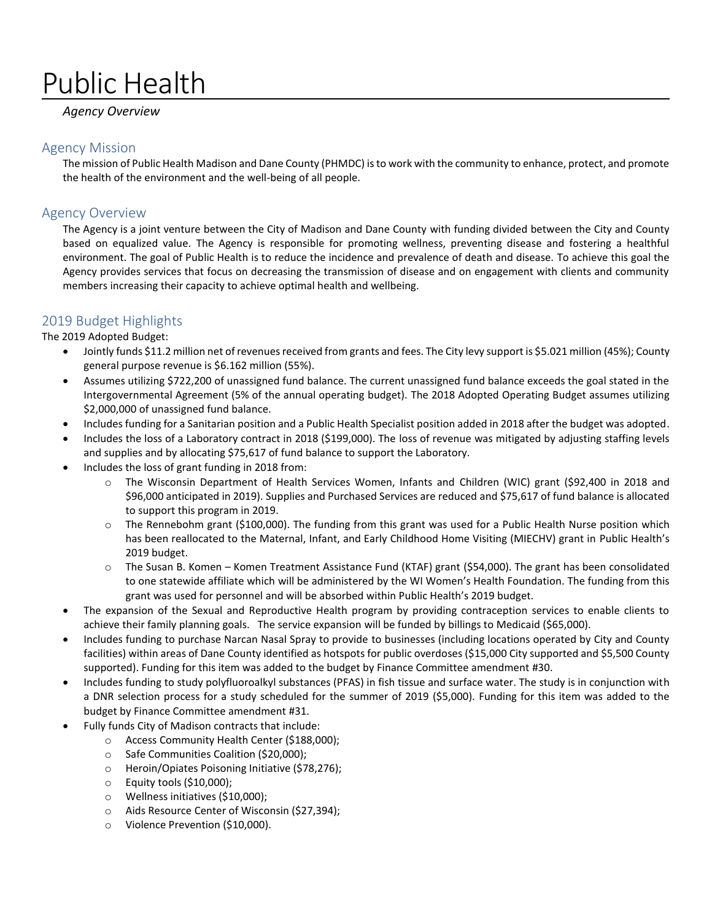# Public Health

# *Agency Overview*

## Agency Mission

The mission of Public Health Madison and Dane County (PHMDC) is to work with the community to enhance, protect, and promote the health of the environment and the well-being of all people.

# Agency Overview

The Agency is a joint venture between the City of Madison and Dane County with funding divided between the City and County based on equalized value. The Agency is responsible for promoting wellness, preventing disease and fostering a healthful environment. The goal of Public Health is to reduce the incidence and prevalence of death and disease. To achieve this goal the Agency provides services that focus on decreasing the transmission of disease and on engagement with clients and community members increasing their capacity to achieve optimal health and wellbeing.

# 2019 Budget Highlights

The 2019 Adopted Budget:

- Jointly funds \$11.2 million net of revenues received from grants and fees. The City levy support is \$5.021 million (45%); County general purpose revenue is \$6.162 million (55%).
- Assumes utilizing \$722,200 of unassigned fund balance. The current unassigned fund balance exceeds the goal stated in the Intergovernmental Agreement (5% of the annual operating budget). The 2018 Adopted Operating Budget assumes utilizing \$2,000,000 of unassigned fund balance.
- Includes funding for a Sanitarian position and a Public Health Specialist position added in 2018 after the budget was adopted.
- Includes the loss of a Laboratory contract in 2018 (\$199,000). The loss of revenue was mitigated by adjusting staffing levels and supplies and by allocating \$75,617 of fund balance to support the Laboratory.
- Includes the loss of grant funding in 2018 from:
	- o The Wisconsin Department of Health Services Women, Infants and Children (WIC) grant (\$92,400 in 2018 and \$96,000 anticipated in 2019). Supplies and Purchased Services are reduced and \$75,617 of fund balance is allocated to support this program in 2019.
	- $\circ$  The Rennebohm grant (\$100,000). The funding from this grant was used for a Public Health Nurse position which has been reallocated to the Maternal, Infant, and Early Childhood Home Visiting (MIECHV) grant in Public Health's 2019 budget.
	- o The Susan B. Komen Komen Treatment Assistance Fund (KTAF) grant (\$54,000). The grant has been consolidated to one statewide affiliate which will be administered by the WI Women's Health Foundation. The funding from this grant was used for personnel and will be absorbed within Public Health's 2019 budget.
- The expansion of the Sexual and Reproductive Health program by providing contraception services to enable clients to achieve their family planning goals. The service expansion will be funded by billings to Medicaid (\$65,000).
- Includes funding to purchase Narcan Nasal Spray to provide to businesses (including locations operated by City and County facilities) within areas of Dane County identified as hotspots for public overdoses (\$15,000 City supported and \$5,500 County supported). Funding for this item was added to the budget by Finance Committee amendment #30.
- Includes funding to study polyfluoroalkyl substances (PFAS) in fish tissue and surface water. The study is in conjunction with a DNR selection process for a study scheduled for the summer of 2019 (\$5,000). Funding for this item was added to the budget by Finance Committee amendment #31.
- Fully funds City of Madison contracts that include:
	- o Access Community Health Center (\$188,000);
	- o Safe Communities Coalition (\$20,000);
	- o Heroin/Opiates Poisoning Initiative (\$78,276);
	- o Equity tools (\$10,000);
	- o Wellness initiatives (\$10,000);
	- o Aids Resource Center of Wisconsin (\$27,394);
	- o Violence Prevention (\$10,000).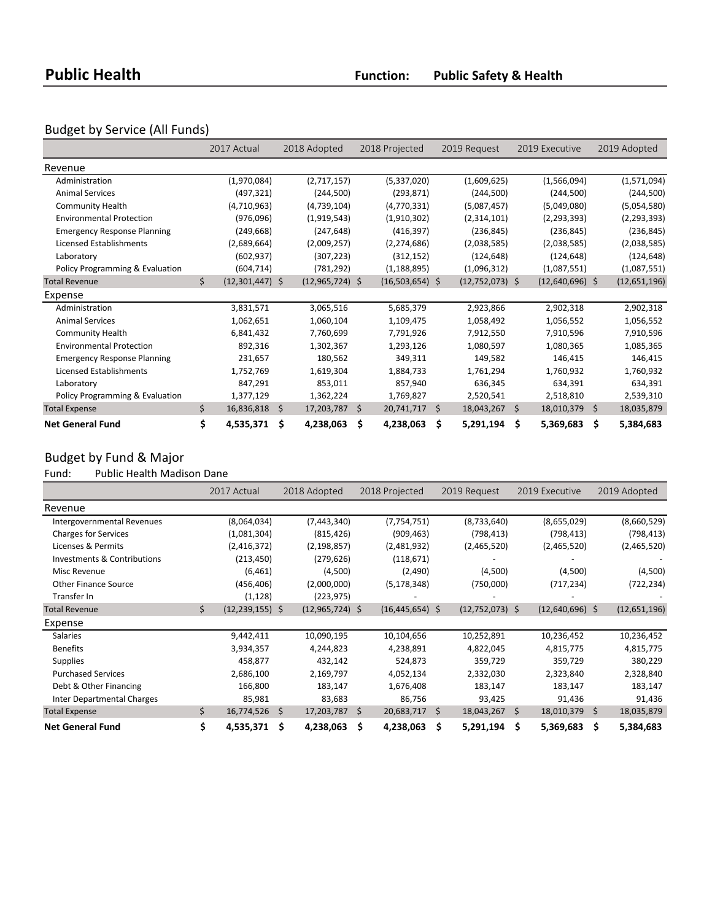# Budget by Service (All Funds)

|                                    | 2017 Actual             |     | 2018 Adopted      | 2018 Projected    | 2019 Request          | 2019 Executive    | 2019 Adopted     |
|------------------------------------|-------------------------|-----|-------------------|-------------------|-----------------------|-------------------|------------------|
| Revenue                            |                         |     |                   |                   |                       |                   |                  |
| Administration                     | (1,970,084)             |     | (2,717,157)       | (5,337,020)       | (1,609,625)           | (1,566,094)       | (1,571,094)      |
| <b>Animal Services</b>             | (497, 321)              |     | (244, 500)        | (293, 871)        | (244,500)             | (244, 500)        | (244,500)        |
| <b>Community Health</b>            | (4,710,963)             |     | (4,739,104)       | (4,770,331)       | (5,087,457)           | (5,049,080)       | (5,054,580)      |
| <b>Environmental Protection</b>    | (976,096)               |     | (1,919,543)       | (1,910,302)       | (2,314,101)           | (2, 293, 393)     | (2, 293, 393)    |
| <b>Emergency Response Planning</b> | (249, 668)              |     | (247, 648)        | (416, 397)        | (236, 845)            | (236, 845)        | (236, 845)       |
| Licensed Establishments            | (2,689,664)             |     | (2,009,257)       | (2, 274, 686)     | (2,038,585)           | (2,038,585)       | (2,038,585)      |
| Laboratory                         | (602, 937)              |     | (307, 223)        | (312, 152)        | (124, 648)            | (124, 648)        | (124, 648)       |
| Policy Programming & Evaluation    | (604, 714)              |     | (781, 292)        | (1, 188, 895)     | (1,096,312)           | (1,087,551)       | (1,087,551)      |
| <b>Total Revenue</b>               | \$<br>$(12,301,447)$ \$ |     | $(12,965,724)$ \$ | $(16,503,654)$ \$ | $(12,752,073)$ \$     | $(12,640,696)$ \$ | (12,651,196)     |
| Expense                            |                         |     |                   |                   |                       |                   |                  |
| Administration                     | 3,831,571               |     | 3,065,516         | 5,685,379         | 2,923,866             | 2,902,318         | 2,902,318        |
| <b>Animal Services</b>             | 1,062,651               |     | 1,060,104         | 1,109,475         | 1,058,492             | 1,056,552         | 1,056,552        |
| <b>Community Health</b>            | 6,841,432               |     | 7,760,699         | 7,791,926         | 7,912,550             | 7,910,596         | 7,910,596        |
| <b>Environmental Protection</b>    | 892,316                 |     | 1,302,367         | 1,293,126         | 1,080,597             | 1,080,365         | 1,085,365        |
| <b>Emergency Response Planning</b> | 231,657                 |     | 180,562           | 349,311           | 149,582               | 146,415           | 146,415          |
| Licensed Establishments            | 1,752,769               |     | 1,619,304         | 1,884,733         | 1,761,294             | 1,760,932         | 1,760,932        |
| Laboratory                         | 847,291                 |     | 853,011           | 857,940           | 636,345               | 634,391           | 634,391          |
| Policy Programming & Evaluation    | 1,377,129               |     | 1,362,224         | 1,769,827         | 2,520,541             | 2,518,810         | 2,539,310        |
| <b>Total Expense</b>               | \$<br>16,836,818 \$     |     | 17,203,787        | \$<br>20,741,717  | \$<br>$18,043,267$ \$ | 18,010,379        | \$<br>18,035,879 |
| <b>Net General Fund</b>            | \$<br>4,535,371         | -\$ | 4,238,063         | \$<br>4,238,063   | \$<br>5,291,194       | \$<br>5,369,683   | \$<br>5,384,683  |

# Budget by Fund & Major<br>Fund: Public Health Madi

Public Health Madison Dane

|                                   | 2017 Actual               |     | 2018 Adopted      | 2018 Projected      | 2019 Request |                   | 2019 Executive    |     | 2019 Adopted |
|-----------------------------------|---------------------------|-----|-------------------|---------------------|--------------|-------------------|-------------------|-----|--------------|
| Revenue                           |                           |     |                   |                     |              |                   |                   |     |              |
| Intergovernmental Revenues        | (8,064,034)               |     | (7,443,340)       | (7, 754, 751)       |              | (8,733,640)       | (8,655,029)       |     | (8,660,529)  |
| <b>Charges for Services</b>       | (1,081,304)               |     | (815, 426)        | (909, 463)          |              | (798, 413)        | (798, 413)        |     | (798, 413)   |
| Licenses & Permits                | (2,416,372)               |     | (2, 198, 857)     | (2,481,932)         |              | (2,465,520)       | (2,465,520)       |     | (2,465,520)  |
| Investments & Contributions       | (213, 450)                |     | (279, 626)        | (118, 671)          |              |                   |                   |     |              |
| Misc Revenue                      | (6, 461)                  |     | (4,500)           | (2,490)             |              | (4,500)           | (4,500)           |     | (4,500)      |
| <b>Other Finance Source</b>       | (456, 406)                |     | (2,000,000)       | (5, 178, 348)       |              | (750,000)         | (717, 234)        |     | (722, 234)   |
| Transfer In                       | (1, 128)                  |     | (223, 975)        |                     |              |                   |                   |     |              |
| <b>Total Revenue</b>              | \$<br>$(12, 239, 155)$ \$ |     | $(12,965,724)$ \$ | $(16, 445, 654)$ \$ |              | $(12,752,073)$ \$ | $(12,640,696)$ \$ |     | (12,651,196) |
| Expense                           |                           |     |                   |                     |              |                   |                   |     |              |
| <b>Salaries</b>                   | 9,442,411                 |     | 10,090,195        | 10,104,656          |              | 10,252,891        | 10,236,452        |     | 10,236,452   |
| <b>Benefits</b>                   | 3,934,357                 |     | 4,244,823         | 4,238,891           |              | 4,822,045         | 4,815,775         |     | 4,815,775    |
| <b>Supplies</b>                   | 458,877                   |     | 432,142           | 524,873             |              | 359,729           | 359,729           |     | 380,229      |
| <b>Purchased Services</b>         | 2,686,100                 |     | 2,169,797         | 4,052,134           |              | 2,332,030         | 2,323,840         |     | 2,328,840    |
| Debt & Other Financing            | 166,800                   |     | 183,147           | 1,676,408           |              | 183,147           | 183,147           |     | 183,147      |
| <b>Inter Departmental Charges</b> | 85,981                    |     | 83,683            | 86,756              |              | 93,425            | 91,436            |     | 91,436       |
| <b>Total Expense</b>              | \$<br>$16,774,526$ \$     |     | 17,203,787 \$     | 20,683,717          | -Ś           | $18,043,267$ \$   | 18,010,379        | \$. | 18,035,879   |
| <b>Net General Fund</b>           | \$<br>4,535,371           | - Ś | 4,238,063         | \$<br>4,238,063     | Ŝ            | 5,291,194         | \$<br>5,369,683   | \$  | 5,384,683    |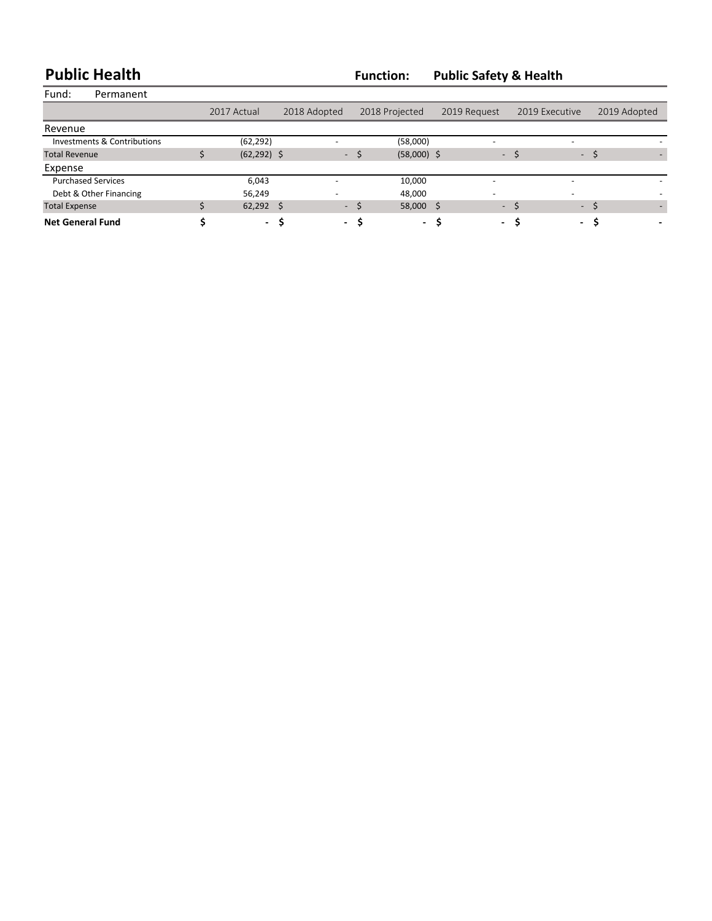**Public Health Function: Public Safety & Health**

| Fund:                       | Permanent |                |              |               |                |              |                          |              |
|-----------------------------|-----------|----------------|--------------|---------------|----------------|--------------|--------------------------|--------------|
|                             |           | 2017 Actual    | 2018 Adopted |               | 2018 Projected | 2019 Request | 2019 Executive           | 2019 Adopted |
| Revenue                     |           |                |              |               |                |              |                          |              |
| Investments & Contributions |           | (62, 292)      |              |               | (58,000)       | -            |                          |              |
| <b>Total Revenue</b>        |           | $(62, 292)$ \$ |              | - \$          | $(58,000)$ \$  | $\sim$       |                          | $-5$         |
| Expense                     |           |                |              |               |                |              |                          |              |
| <b>Purchased Services</b>   |           | 6,043          |              |               | 10,000         | -            | $\overline{\phantom{a}}$ |              |
| Debt & Other Financing      |           | 56,249         |              |               | 48.000         | -            | $\overline{\phantom{a}}$ |              |
| <b>Total Expense</b>        |           | $62,292$ \$    |              | $-5$          | 58,000         | Ŝ            | $\sim$                   | $-5$         |
| <b>Net General Fund</b>     |           |                | - S          | - S<br>$\sim$ | $\sim$         |              | - S                      | - \$         |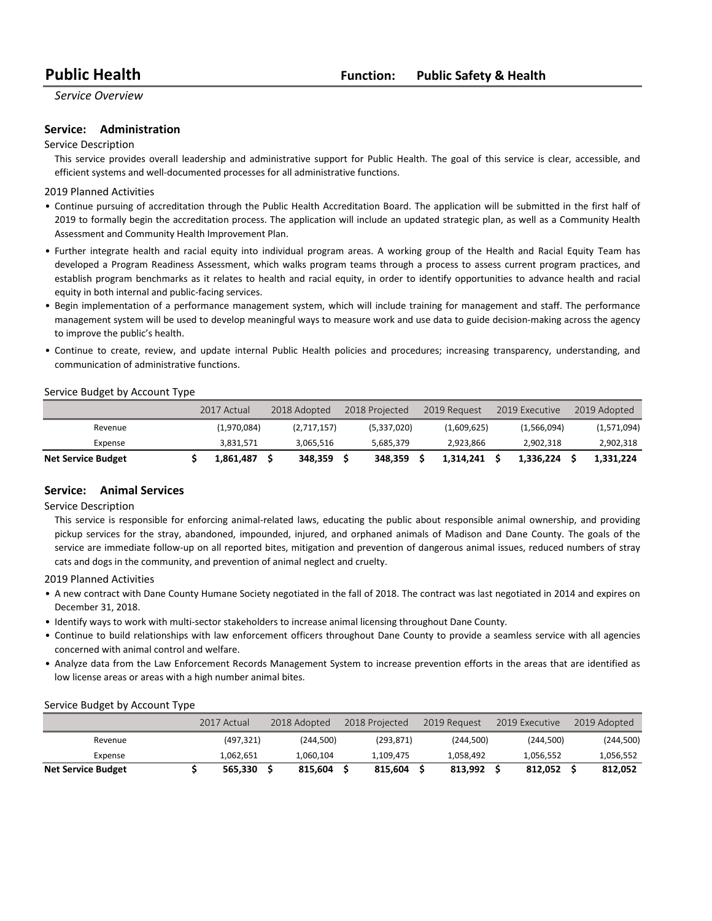### **Service: Administration**

#### Service Description

This service provides overall leadership and administrative support for Public Health. The goal of this service is clear, accessible, and efficient systems and well-documented processes for all administrative functions.

#### 2019 Planned Activities

- Continue pursuing of accreditation through the Public Health Accreditation Board. The application will be submitted in the first half of 2019 to formally begin the accreditation process. The application will include an updated strategic plan, as well as a Community Health Assessment and Community Health Improvement Plan.
- Further integrate health and racial equity into individual program areas. A working group of the Health and Racial Equity Team has developed a Program Readiness Assessment, which walks program teams through a process to assess current program practices, and establish program benchmarks as it relates to health and racial equity, in order to identify opportunities to advance health and racial equity in both internal and public-facing services.
- Begin implementation of a performance management system, which will include training for management and staff. The performance management system will be used to develop meaningful ways to measure work and use data to guide decision-making across the agency to improve the public's health.
- Continue to create, review, and update internal Public Health policies and procedures; increasing transparency, understanding, and communication of administrative functions.

#### Service Budget by Account Type

|                           | 2017 Actual | 2018 Adopted |             | 2018 Projected |             | 2019 Request | 2019 Executive | 2019 Adopted |
|---------------------------|-------------|--------------|-------------|----------------|-------------|--------------|----------------|--------------|
| Revenue                   | (1,970,084) |              | (2,717,157) |                | (5,337,020) | (1,609,625)  | (1,566,094)    | (1,571,094)  |
| Expense                   | 3.831.571   |              | 3.065.516   |                | 5.685.379   | 2.923.866    | 2.902.318      | 2,902,318    |
| <b>Net Service Budget</b> | 1.861.487   |              | 348.359     |                | 348.359     | 1.314.241    | 1.336.224      | 1.331.224    |

#### **Service:** Animal Services

#### Service Description

This service is responsible for enforcing animal-related laws, educating the public about responsible animal ownership, and providing pickup services for the stray, abandoned, impounded, injured, and orphaned animals of Madison and Dane County. The goals of the service are immediate follow-up on all reported bites, mitigation and prevention of dangerous animal issues, reduced numbers of stray cats and dogs in the community, and prevention of animal neglect and cruelty.

2019 Planned Activities

- A new contract with Dane County Humane Society negotiated in the fall of 2018. The contract was last negotiated in 2014 and expires on December 31, 2018.
- Identify ways to work with multi-sector stakeholders to increase animal licensing throughout Dane County.
- Continue to build relationships with law enforcement officers throughout Dane County to provide a seamless service with all agencies concerned with animal control and welfare.
- Analyze data from the Law Enforcement Records Management System to increase prevention efforts in the areas that are identified as low license areas or areas with a high number animal bites.

|                           | 2017 Actual | 2018 Adopted | 2018 Projected | 2019 Request | 2019 Executive | 2019 Adopted |
|---------------------------|-------------|--------------|----------------|--------------|----------------|--------------|
| Revenue                   | (497, 321)  | (244.500)    | (293.871)      | (244.500)    | (244,500)      | (244,500)    |
| Expense                   | 1.062.651   | 1.060.104    | 1.109.475      | 1.058.492    | 1.056.552      | 1,056,552    |
| <b>Net Service Budget</b> | 565.330     | 815.604      | 815.604        | 813.992      | 812.052        | 812,052      |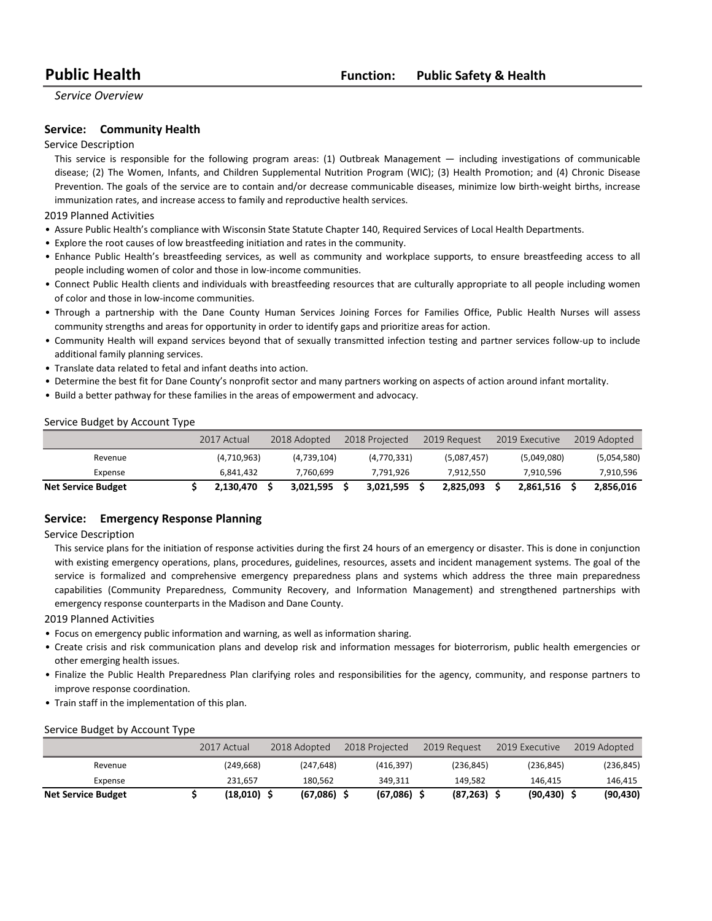### **Service:** Community Health

#### Service Description

This service is responsible for the following program areas: (1) Outbreak Management — including investigations of communicable disease; (2) The Women, Infants, and Children Supplemental Nutrition Program (WIC); (3) Health Promotion; and (4) Chronic Disease Prevention. The goals of the service are to contain and/or decrease communicable diseases, minimize low birth-weight births, increase immunization rates, and increase access to family and reproductive health services.

2019 Planned Activities

- Assure Public Health's compliance with Wisconsin State Statute Chapter 140, Required Services of Local Health Departments.
- Explore the root causes of low breastfeeding initiation and rates in the community.
- Enhance Public Health's breastfeeding services, as well as community and workplace supports, to ensure breastfeeding access to all people including women of color and those in low-income communities.
- Connect Public Health clients and individuals with breastfeeding resources that are culturally appropriate to all people including women of color and those in low-income communities.
- Through a partnership with the Dane County Human Services Joining Forces for Families Office, Public Health Nurses will assess community strengths and areas for opportunity in order to identify gaps and prioritize areas for action.
- Community Health will expand services beyond that of sexually transmitted infection testing and partner services follow-up to include additional family planning services.
- Translate data related to fetal and infant deaths into action.
- Determine the best fit for Dane County's nonprofit sector and many partners working on aspects of action around infant mortality.
- Build a better pathway for these families in the areas of empowerment and advocacy.

#### Service Budget by Account Type

|                           | 2017 Actual | 2018 Adopted | 2018 Projected | 2019 Request | 2019 Executive | 2019 Adopted |
|---------------------------|-------------|--------------|----------------|--------------|----------------|--------------|
| Revenue                   | (4,710,963) | (4,739,104)  | (4,770,331)    | (5,087,457)  | (5,049,080)    | (5,054,580)  |
| Expense                   | 6.841.432   | 7.760.699    | 7.791.926      | 7.912.550    | 7.910.596      | 7,910,596    |
| <b>Net Service Budget</b> | 2,130,470   | 3,021,595    | 3.021.595      | 2,825,093    | 2,861,516      | 2,856,016    |

### **Service:** Emergency Response Planning

Service Description

This service plans for the initiation of response activities during the first 24 hours of an emergency or disaster. This is done in conjunction with existing emergency operations, plans, procedures, guidelines, resources, assets and incident management systems. The goal of the service is formalized and comprehensive emergency preparedness plans and systems which address the three main preparedness capabilities (Community Preparedness, Community Recovery, and Information Management) and strengthened partnerships with emergency response counterparts in the Madison and Dane County.

2019 Planned Activities

- Focus on emergency public information and warning, as well as information sharing.
- Create crisis and risk communication plans and develop risk and information messages for bioterrorism, public health emergencies or other emerging health issues.
- Finalize the Public Health Preparedness Plan clarifying roles and responsibilities for the agency, community, and response partners to improve response coordination.
- Train staff in the implementation of this plan.

|                           | 2017 Actual | 2018 Adopted  | 2018 Projected | 2019 Request   | 2019 Executive | 2019 Adopted |
|---------------------------|-------------|---------------|----------------|----------------|----------------|--------------|
| Revenue                   | (249, 668)  | (247, 648)    | (416.397)      | (236, 845)     | (236, 845)     | (236, 845)   |
| Expense                   | 231.657     | 180.562       | 349.311        | 149.582        | 146.415        | 146,415      |
| <b>Net Service Budget</b> | (18,010)    | $(67,086)$ \$ | (67,086)       | $(87, 263)$ \$ | (90, 430)      | (90, 430)    |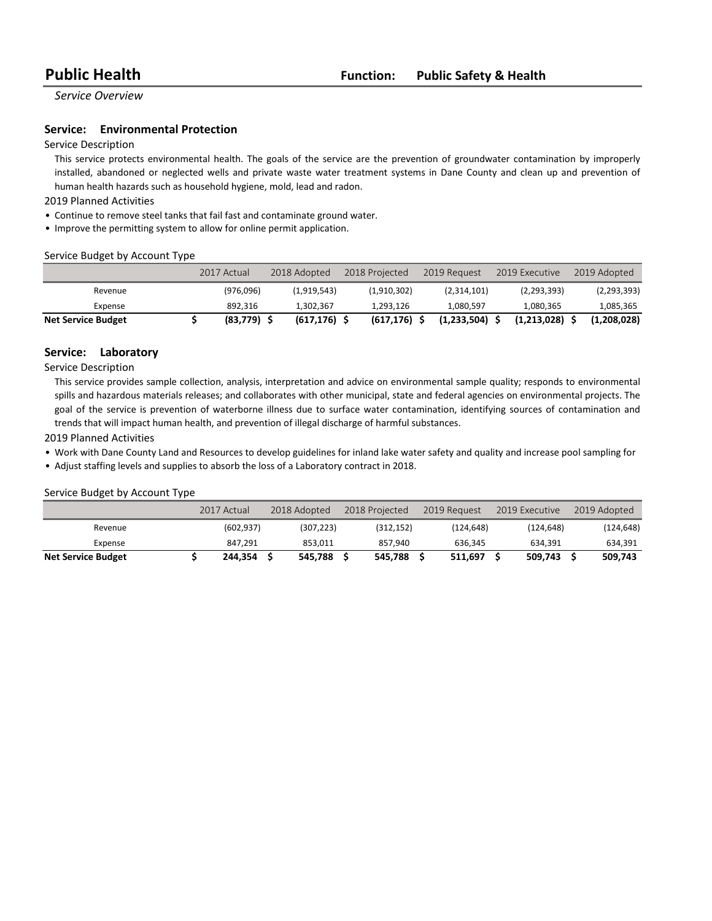### **Service:** Environmental Protection

#### Service Description

This service protects environmental health. The goals of the service are the prevention of groundwater contamination by improperly installed, abandoned or neglected wells and private waste water treatment systems in Dane County and clean up and prevention of human health hazards such as household hygiene, mold, lead and radon.

2019 Planned Activities

- Continue to remove steel tanks that fail fast and contaminate ground water.
- Improve the permitting system to allow for online permit application.

#### Service Budget by Account Type

|                           | 2017 Actual | 2018 Adopted | 2018 Projected | 2019 Request     | 2019 Executive | 2019 Adopted |
|---------------------------|-------------|--------------|----------------|------------------|----------------|--------------|
| Revenue                   | (976.096)   | (1,919,543)  | (1.910.302)    | (2,314,101)      | (2,293,393)    | (2,293,393)  |
| Expense                   | 892.316     | 1.302.367    | 1.293.126      | 1.080.597        | 1,080,365      | 1,085,365    |
| <b>Net Service Budget</b> | (83, 779)   | (617, 176)   | (617,176)      | $(1,233,504)$ \$ | (1,213,028)    | (1.208.028)  |

### **Service:** Laboratory

Service Description

This service provides sample collection, analysis, interpretation and advice on environmental sample quality; responds to environmental spills and hazardous materials releases; and collaborates with other municipal, state and federal agencies on environmental projects. The goal of the service is prevention of waterborne illness due to surface water contamination, identifying sources of contamination and trends that will impact human health, and prevention of illegal discharge of harmful substances.

2019 Planned Activities

• Work with Dane County Land and Resources to develop guidelines for inland lake water safety and quality and increase pool sampling for

• Adjust staffing levels and supplies to absorb the loss of a Laboratory contract in 2018.

|                           | 2017 Actual | 2018 Adopted | 2018 Projected | 2019 Request | 2019 Executive | 2019 Adopted |
|---------------------------|-------------|--------------|----------------|--------------|----------------|--------------|
| Revenue                   | (602.937)   | (307.223)    | (312, 152)     | (124.648)    | (124.648)      | (124,648)    |
| Expense                   | 847.291     | 853.011      | 857.940        | 636.345      | 634.391        | 634,391      |
| <b>Net Service Budget</b> | 244.354     | 545.788      | 545.788        | 511.697      | 509.743        | 509.743      |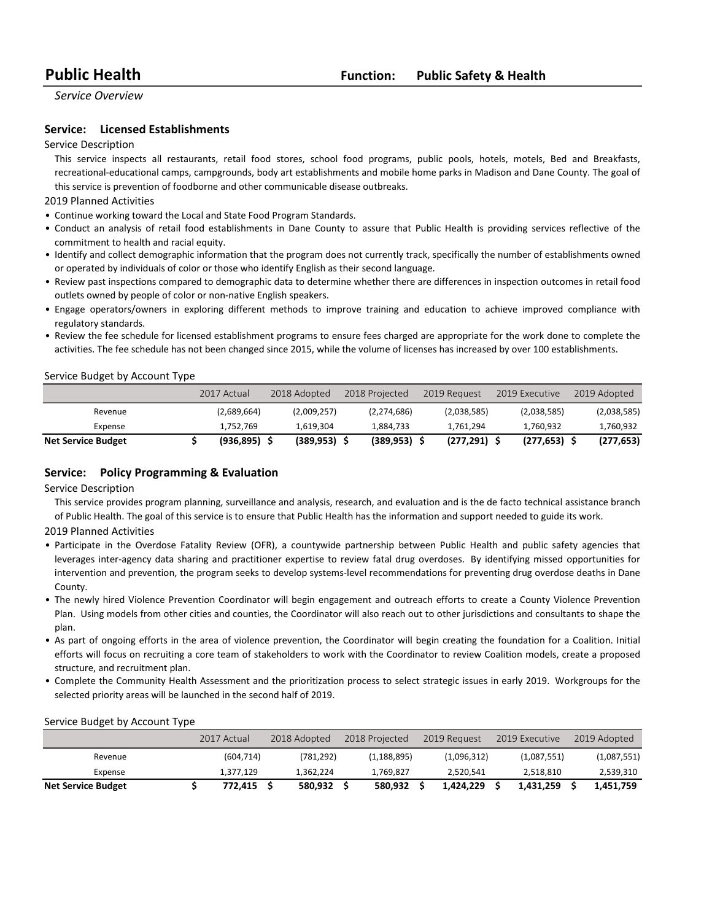### **Service:** Licensed Establishments

#### Service Description

This service inspects all restaurants, retail food stores, school food programs, public pools, hotels, motels, Bed and Breakfasts, recreational-educational camps, campgrounds, body art establishments and mobile home parks in Madison and Dane County. The goal of this service is prevention of foodborne and other communicable disease outbreaks.

2019 Planned Activities

- Continue working toward the Local and State Food Program Standards.
- Conduct an analysis of retail food establishments in Dane County to assure that Public Health is providing services reflective of the commitment to health and racial equity.
- Identify and collect demographic information that the program does not currently track, specifically the number of establishments owned or operated by individuals of color or those who identify English as their second language.
- Review past inspections compared to demographic data to determine whether there are differences in inspection outcomes in retail food outlets owned by people of color or non-native English speakers.
- Engage operators/owners in exploring different methods to improve training and education to achieve improved compliance with regulatory standards.
- Review the fee schedule for licensed establishment programs to ensure fees charged are appropriate for the work done to complete the activities. The fee schedule has not been changed since 2015, while the volume of licenses has increased by over 100 establishments.

#### Service Budget by Account Type

|                           | 2017 Actual | 2018 Adopted    | 2018 Projected | 2019 Request    | 2019 Executive | 2019 Adopted |
|---------------------------|-------------|-----------------|----------------|-----------------|----------------|--------------|
| Revenue                   | (2,689,664) | (2,009,257)     | (2,274,686)    | (2,038,585)     | (2,038,585)    | (2,038,585)  |
| Expense                   | 1,752,769   | 1.619.304       | 1.884.733      | 1.761.294       | 1.760.932      | 1,760,932    |
| <b>Net Service Budget</b> | (936, 895)  | $(389, 953)$ \$ | (389.953)      | $(277, 291)$ \$ | (277.653)      | (277, 653)   |

#### **Service:** Policy Programming & Evaluation

Service Description

This service provides program planning, surveillance and analysis, research, and evaluation and is the de facto technical assistance branch of Public Health. The goal of this service is to ensure that Public Health has the information and support needed to guide its work.

2019 Planned Activities

- Participate in the Overdose Fatality Review (OFR), a countywide partnership between Public Health and public safety agencies that leverages inter-agency data sharing and practitioner expertise to review fatal drug overdoses. By identifying missed opportunities for intervention and prevention, the program seeks to develop systems-level recommendations for preventing drug overdose deaths in Dane County.
- The newly hired Violence Prevention Coordinator will begin engagement and outreach efforts to create a County Violence Prevention Plan. Using models from other cities and counties, the Coordinator will also reach out to other jurisdictions and consultants to shape the plan.
- As part of ongoing efforts in the area of violence prevention, the Coordinator will begin creating the foundation for a Coalition. Initial efforts will focus on recruiting a core team of stakeholders to work with the Coordinator to review Coalition models, create a proposed structure, and recruitment plan.
- Complete the Community Health Assessment and the prioritization process to select strategic issues in early 2019. Workgroups for the selected priority areas will be launched in the second half of 2019.

|                           | 2017 Actual | 2018 Adopted | 2018 Projected | 2019 Request | 2019 Executive | 2019 Adopted |
|---------------------------|-------------|--------------|----------------|--------------|----------------|--------------|
| Revenue                   | (604, 714)  | (781.292)    | (1, 188, 895)  | (1,096,312)  | (1,087,551)    | (1,087,551)  |
| Expense                   | 1.377.129   | 1.362.224    | 1,769,827      | 2.520.541    | 2.518.810      | 2,539,310    |
| <b>Net Service Budget</b> | 772.415     | 580.932      | 580.932        | 1.424.229    | 1.431.259      | 1,451,759    |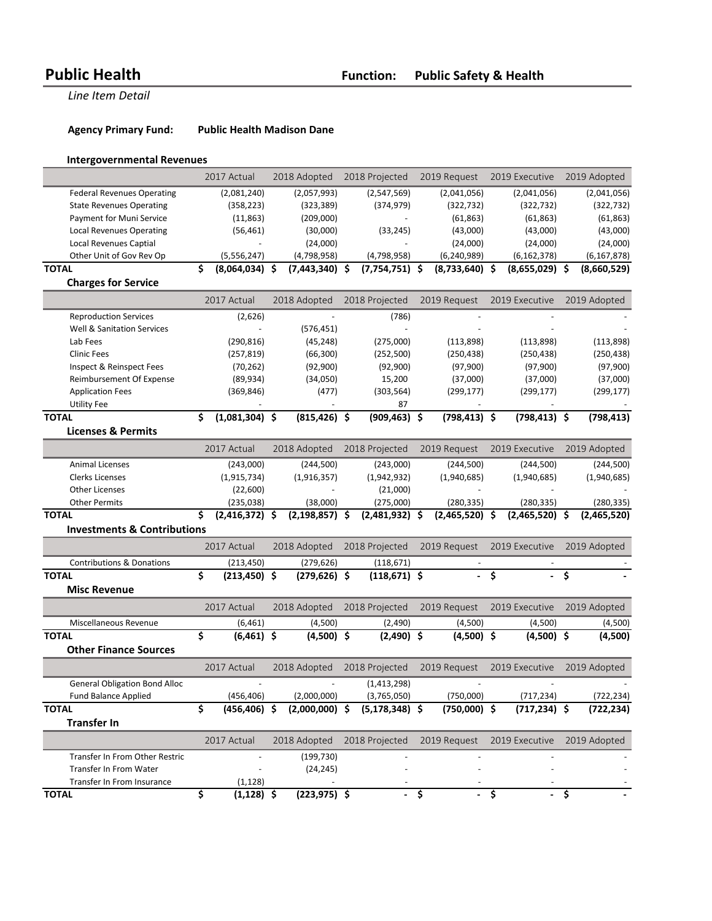Agency Primary Fund: Public Health Madison Dane

# **Intergovernmental Revenues**

|                                        | 2017 Actual              | 2018 Adopted       | 2018 Projected     | 2019 Request             | 2019 Executive   | 2019 Adopted  |
|----------------------------------------|--------------------------|--------------------|--------------------|--------------------------|------------------|---------------|
| <b>Federal Revenues Operating</b>      | (2,081,240)              | (2,057,993)        | (2,547,569)        | (2,041,056)              | (2,041,056)      | (2,041,056)   |
| <b>State Revenues Operating</b>        | (358, 223)               | (323, 389)         | (374, 979)         | (322, 732)               | (322, 732)       | (322, 732)    |
| Payment for Muni Service               | (11, 863)                | (209,000)          |                    | (61, 863)                | (61, 863)        | (61, 863)     |
| <b>Local Revenues Operating</b>        | (56, 461)                | (30,000)           | (33, 245)          | (43,000)                 | (43,000)         | (43,000)      |
| <b>Local Revenues Captial</b>          | $\overline{\phantom{a}}$ | (24,000)           |                    | (24,000)                 | (24,000)         | (24,000)      |
| Other Unit of Gov Rev Op               | (5,556,247)              | (4,798,958)        | (4,798,958)        | (6, 240, 989)            | (6, 162, 378)    | (6, 167, 878) |
| <b>TOTAL</b>                           | \$<br>$(8,064,034)$ \$   | $(7,443,340)$ \$   | $(7,754,751)$ \$   | $(8,733,640)$ \$         | $(8,655,029)$ \$ | (8,660,529)   |
| <b>Charges for Service</b>             |                          |                    |                    |                          |                  |               |
|                                        | 2017 Actual              | 2018 Adopted       | 2018 Projected     | 2019 Request             | 2019 Executive   | 2019 Adopted  |
| <b>Reproduction Services</b>           | (2,626)                  |                    | (786)              |                          |                  |               |
| <b>Well &amp; Sanitation Services</b>  | ÷,                       | (576, 451)         |                    |                          |                  |               |
| Lab Fees                               | (290, 816)               | (45, 248)          | (275,000)          | (113,898)                | (113,898)        | (113,898)     |
| <b>Clinic Fees</b>                     | (257, 819)               | (66, 300)          | (252, 500)         | (250, 438)               | (250, 438)       | (250, 438)    |
| Inspect & Reinspect Fees               | (70, 262)                | (92,900)           | (92,900)           | (97,900)                 | (97,900)         | (97,900)      |
| Reimbursement Of Expense               | (89, 934)                | (34,050)           | 15,200             | (37,000)                 | (37,000)         | (37,000)      |
| <b>Application Fees</b>                | (369, 846)               | (477)              | (303, 564)         | (299, 177)               | (299, 177)       | (299, 177)    |
| <b>Utility Fee</b>                     |                          |                    | 87                 |                          |                  |               |
| <b>TOTAL</b>                           | \$<br>$(1,081,304)$ \$   | $(815, 426)$ \$    | $(909, 463)$ \$    | $(798, 413)$ \$          | $(798, 413)$ \$  | (798, 413)    |
| <b>Licenses &amp; Permits</b>          |                          |                    |                    |                          |                  |               |
|                                        | 2017 Actual              | 2018 Adopted       | 2018 Projected     | 2019 Request             | 2019 Executive   | 2019 Adopted  |
| <b>Animal Licenses</b>                 | (243,000)                | (244, 500)         | (243,000)          | (244, 500)               | (244, 500)       | (244,500)     |
| <b>Clerks Licenses</b>                 | (1,915,734)              | (1,916,357)        | (1,942,932)        | (1,940,685)              | (1,940,685)      | (1,940,685)   |
| <b>Other Licenses</b>                  | (22,600)                 |                    | (21,000)           |                          |                  |               |
| <b>Other Permits</b>                   | (235, 038)               | (38,000)           | (275,000)          | (280, 335)               | (280, 335)       | (280, 335)    |
| <b>TOTAL</b>                           | \$<br>$(2,416,372)$ \$   | $(2, 198, 857)$ \$ | $(2,481,932)$ \$   | $(2,465,520)$ \$         | $(2,465,520)$ \$ | (2,465,520)   |
| <b>Investments &amp; Contributions</b> |                          |                    |                    |                          |                  |               |
|                                        | 2017 Actual              | 2018 Adopted       | 2018 Projected     | 2019 Request             | 2019 Executive   | 2019 Adopted  |
| <b>Contributions &amp; Donations</b>   | (213, 450)               | (279, 626)         | (118, 671)         |                          |                  |               |
| <b>TOTAL</b>                           | \$<br>$(213, 450)$ \$    | $(279, 626)$ \$    | $(118, 671)$ \$    | $\overline{\phantom{0}}$ | \$               | \$            |
| <b>Misc Revenue</b>                    |                          |                    |                    |                          |                  |               |
|                                        | 2017 Actual              | 2018 Adopted       | 2018 Projected     | 2019 Request             | 2019 Executive   | 2019 Adopted  |
| Miscellaneous Revenue                  | (6, 461)                 | (4,500)            | (2,490)            | (4,500)                  | (4,500)          | (4,500)       |
| <b>TOTAL</b>                           | \$<br>$(6,461)$ \$       | $(4,500)$ \$       | $(2,490)$ \$       | $(4,500)$ \$             | $(4,500)$ \$     |               |
| <b>Other Finance Sources</b>           |                          |                    |                    |                          |                  | (4,500)       |
|                                        | 2017 Actual              | 2018 Adopted       | 2018 Projected     | 2019 Request             | 2019 Executive   | 2019 Adopted  |
| <b>General Obligation Bond Alloc</b>   |                          |                    | (1,413,298)        |                          |                  |               |
|                                        |                          |                    |                    |                          |                  |               |
| <b>Fund Balance Applied</b>            | (456, 406)               | (2,000,000)        | (3,765,050)        | (750,000)                | (717, 234)       | (722, 234)    |
| <b>TOTAL</b>                           | \$<br>$(456, 406)$ \$    | $(2,000,000)$ \$   | $(5, 178, 348)$ \$ | $(750,000)$ \$           | $(717, 234)$ \$  | (722, 234)    |
| <b>Transfer In</b>                     |                          |                    |                    |                          |                  |               |
|                                        | 2017 Actual              | 2018 Adopted       | 2018 Projected     | 2019 Request             | 2019 Executive   | 2019 Adopted  |
| Transfer In From Other Restric         |                          | (199, 730)         |                    |                          |                  |               |
| <b>Transfer In From Water</b>          |                          | (24, 245)          |                    |                          |                  |               |
| Transfer In From Insurance             | (1, 128)                 |                    |                    |                          |                  |               |
| <b>TOTAL</b>                           | \$<br>$(1,128)$ \$       | $(223, 975)$ \$    | $-\frac{1}{2}$     | $-\frac{1}{2}$           | $-$ \$           |               |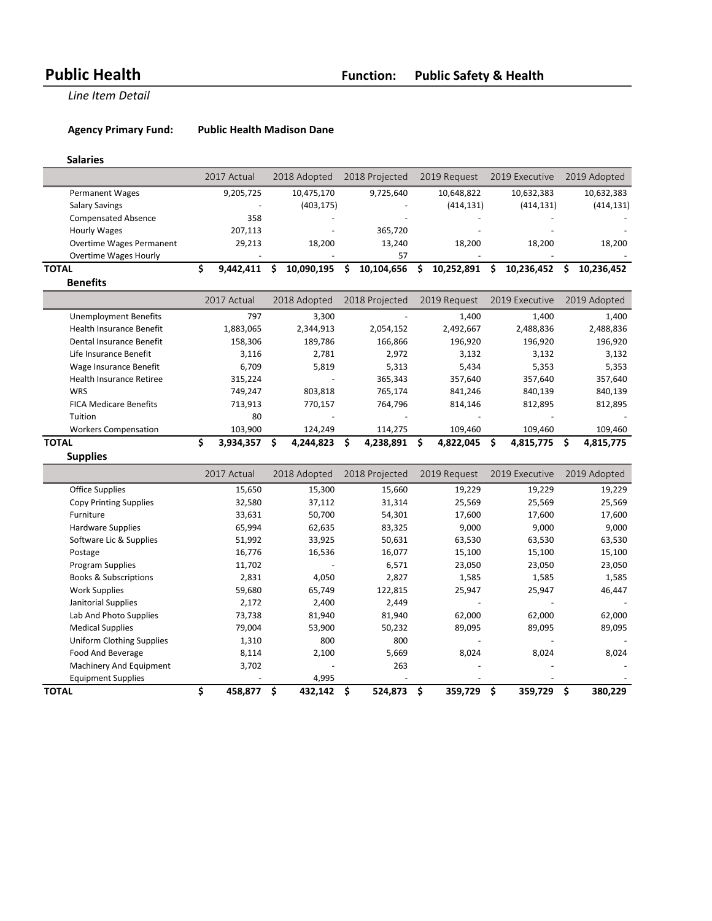Agency Primary Fund: Public Health Madison Dane

### **Salaries**

|                                  | 2017 Actual     | 2018 Adopted     | 2018 Projected   | 2019 Request      | 2019 Executive   | 2019 Adopted     |
|----------------------------------|-----------------|------------------|------------------|-------------------|------------------|------------------|
| <b>Permanent Wages</b>           | 9,205,725       | 10,475,170       | 9,725,640        | 10,648,822        | 10,632,383       | 10,632,383       |
| <b>Salary Savings</b>            |                 | (403, 175)       |                  | (414, 131)        | (414, 131)       | (414, 131)       |
| <b>Compensated Absence</b>       | 358             |                  |                  |                   |                  |                  |
| <b>Hourly Wages</b>              | 207,113         |                  | 365,720          |                   |                  |                  |
| <b>Overtime Wages Permanent</b>  | 29,213          | 18,200           | 13,240           | 18,200            | 18,200           | 18,200           |
| Overtime Wages Hourly            |                 |                  | 57               |                   |                  |                  |
| <b>TOTAL</b>                     | \$<br>9,442,411 | \$<br>10,090,195 | Ŝ.<br>10,104,656 | 10,252,891<br>Ŝ.  | \$<br>10,236,452 | \$<br>10,236,452 |
| <b>Benefits</b>                  |                 |                  |                  |                   |                  |                  |
|                                  | 2017 Actual     | 2018 Adopted     | 2018 Projected   | 2019 Request      | 2019 Executive   | 2019 Adopted     |
| <b>Unemployment Benefits</b>     | 797             | 3,300            |                  | 1,400             | 1,400            | 1,400            |
| <b>Health Insurance Benefit</b>  | 1,883,065       | 2,344,913        | 2,054,152        | 2,492,667         | 2,488,836        | 2,488,836        |
| Dental Insurance Benefit         | 158,306         | 189,786          | 166,866          | 196,920           | 196,920          | 196,920          |
| Life Insurance Benefit           | 3,116           | 2,781            | 2,972            | 3,132             | 3,132            | 3,132            |
| Wage Insurance Benefit           | 6,709           | 5,819            | 5,313            | 5,434             | 5,353            | 5,353            |
| <b>Health Insurance Retiree</b>  | 315,224         |                  | 365,343          | 357,640           | 357,640          | 357,640          |
| <b>WRS</b>                       | 749,247         | 803,818          | 765,174          | 841,246           | 840,139          | 840,139          |
| <b>FICA Medicare Benefits</b>    | 713,913         | 770,157          | 764,796          | 814,146           | 812,895          | 812,895          |
| Tuition                          | 80              |                  |                  |                   |                  |                  |
| <b>Workers Compensation</b>      | 103,900         | 124,249          | 114,275          | 109,460           | 109,460          | 109,460          |
|                                  | \$              | Ś.               | \$.<br>4,238,891 | - \$<br>4,822,045 | Ś.<br>4,815,775  | Ŝ.<br>4,815,775  |
| <b>TOTAL</b>                     | 3,934,357       | 4,244,823        |                  |                   |                  |                  |
| <b>Supplies</b>                  |                 |                  |                  |                   |                  |                  |
|                                  | 2017 Actual     | 2018 Adopted     | 2018 Projected   | 2019 Request      | 2019 Executive   | 2019 Adopted     |
| <b>Office Supplies</b>           | 15,650          | 15,300           | 15,660           | 19,229            | 19,229           | 19,229           |
| <b>Copy Printing Supplies</b>    | 32,580          | 37,112           | 31,314           | 25,569            | 25,569           | 25,569           |
| Furniture                        | 33,631          | 50,700           | 54,301           | 17,600            | 17,600           | 17,600           |
| <b>Hardware Supplies</b>         | 65,994          | 62,635           | 83,325           | 9,000             | 9,000            | 9,000            |
| Software Lic & Supplies          | 51,992          | 33,925           | 50,631           | 63,530            | 63,530           | 63,530           |
| Postage                          | 16,776          | 16,536           | 16,077           | 15,100            | 15,100           | 15,100           |
| <b>Program Supplies</b>          | 11,702          |                  | 6,571            | 23,050            | 23,050           | 23,050           |
| <b>Books &amp; Subscriptions</b> | 2,831           | 4,050            | 2,827            | 1,585             | 1,585            | 1,585            |
| <b>Work Supplies</b>             | 59,680          | 65,749           | 122,815          | 25,947            | 25,947           | 46,447           |
| Janitorial Supplies              | 2,172           | 2,400            | 2,449            |                   |                  |                  |
| Lab And Photo Supplies           | 73,738          | 81,940           | 81,940           | 62,000            | 62,000           | 62,000           |
| <b>Medical Supplies</b>          | 79,004          | 53,900           | 50,232           | 89,095            | 89,095           | 89,095           |
| <b>Uniform Clothing Supplies</b> | 1,310           | 800              | 800              |                   |                  |                  |
| Food And Beverage                | 8,114           | 2,100            | 5,669            | 8,024             | 8,024            | 8,024            |
| Machinery And Equipment          | 3,702           |                  | 263              |                   |                  |                  |
| <b>Equipment Supplies</b>        | \$              | 4,995<br>\$      |                  | \$<br>359,729     | \$               | \$               |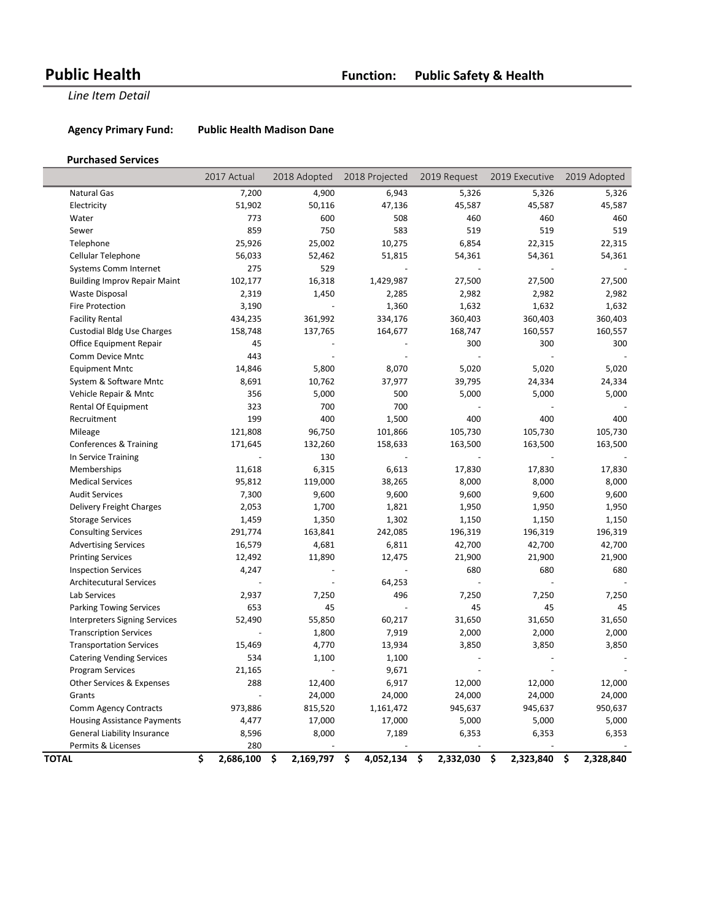Agency Primary Fund: Public Health Madison Dane

### **Purchased Services**

|                                      | 2017 Actual                          | 2018 Adopted    | 2018 Projected  | 2019 Request    | 2019 Executive  | 2019 Adopted    |
|--------------------------------------|--------------------------------------|-----------------|-----------------|-----------------|-----------------|-----------------|
| Natural Gas                          | 7,200                                | 4,900           | 6,943           | 5,326           | 5,326           | 5,326           |
| Electricity                          | 51,902                               | 50,116          | 47,136          | 45,587          | 45,587          | 45,587          |
| Water                                | 773                                  | 600             | 508             | 460             | 460             | 460             |
| Sewer                                | 859                                  | 750             | 583             | 519             | 519             | 519             |
| Telephone                            | 25,926                               | 25,002          | 10,275          | 6,854           | 22,315          | 22,315          |
| Cellular Telephone                   | 56,033                               | 52,462          | 51,815          | 54,361          | 54,361          | 54,361          |
| <b>Systems Comm Internet</b>         | 275                                  | 529             |                 |                 |                 |                 |
| <b>Building Improv Repair Maint</b>  | 102,177                              | 16,318          | 1,429,987       | 27,500          | 27,500          | 27,500          |
| Waste Disposal                       | 2,319                                | 1,450           | 2,285           | 2,982           | 2,982           | 2,982           |
| <b>Fire Protection</b>               | 3,190                                |                 | 1,360           | 1,632           | 1,632           | 1,632           |
| <b>Facility Rental</b>               | 434,235                              | 361,992         | 334,176         | 360,403         | 360,403         | 360,403         |
| <b>Custodial Bldg Use Charges</b>    | 158,748                              | 137,765         | 164,677         | 168,747         | 160,557         | 160,557         |
| Office Equipment Repair              | 45                                   |                 |                 | 300             | 300             | 300             |
| Comm Device Mntc                     | 443                                  |                 |                 |                 |                 |                 |
| <b>Equipment Mntc</b>                | 14,846                               | 5,800           | 8,070           | 5,020           | 5,020           | 5,020           |
| System & Software Mntc               | 8,691                                | 10,762          | 37,977          | 39,795          | 24,334          | 24,334          |
| Vehicle Repair & Mntc                | 356                                  | 5,000           | 500             | 5,000           | 5,000           | 5,000           |
| Rental Of Equipment                  | 323                                  | 700             | 700             |                 |                 |                 |
| Recruitment                          | 199                                  | 400             | 1,500           | 400             | 400             | 400             |
| Mileage                              | 121,808                              | 96,750          | 101,866         | 105,730         | 105,730         | 105,730         |
| Conferences & Training               | 171,645                              | 132,260         | 158,633         | 163,500         | 163,500         | 163,500         |
| In Service Training                  |                                      | 130             |                 |                 |                 |                 |
| Memberships                          | 11,618                               | 6,315           | 6,613           | 17,830          | 17,830          | 17,830          |
| <b>Medical Services</b>              | 95,812                               | 119,000         | 38,265          | 8,000           | 8,000           | 8,000           |
| <b>Audit Services</b>                | 7,300                                | 9,600           | 9,600           | 9,600           | 9,600           | 9,600           |
| Delivery Freight Charges             | 2,053                                | 1,700           | 1,821           | 1,950           | 1,950           | 1,950           |
| <b>Storage Services</b>              | 1,459                                | 1,350           | 1,302           | 1,150           | 1,150           | 1,150           |
| <b>Consulting Services</b>           | 291,774                              | 163,841         | 242,085         | 196,319         | 196,319         | 196,319         |
| <b>Advertising Services</b>          | 16,579                               | 4,681           | 6,811           | 42,700          | 42,700          | 42,700          |
| <b>Printing Services</b>             | 12,492                               | 11,890          | 12,475          | 21,900          | 21,900          | 21,900          |
| <b>Inspection Services</b>           | 4,247                                |                 |                 | 680             | 680             | 680             |
| <b>Architecutural Services</b>       |                                      |                 | 64,253          |                 |                 |                 |
| Lab Services                         | 2,937                                | 7,250           | 496             | 7,250           | 7,250           | 7,250           |
| <b>Parking Towing Services</b>       | 653                                  | 45              |                 | 45              | 45              | 45              |
| <b>Interpreters Signing Services</b> | 52,490                               | 55,850          | 60,217          | 31,650          | 31,650          | 31,650          |
| <b>Transcription Services</b>        |                                      | 1,800           | 7,919           | 2,000           | 2,000           | 2,000           |
| <b>Transportation Services</b>       | 15,469                               | 4,770           | 13,934          | 3,850           | 3,850           | 3,850           |
| <b>Catering Vending Services</b>     | 534                                  | 1,100           | 1,100           |                 |                 |                 |
| Program Services                     | 21,165                               |                 | 9,671           |                 |                 |                 |
| Other Services & Expenses            | 288                                  | 12,400          | 6,917           | 12,000          | 12,000          | 12,000          |
| Grants                               |                                      | 24,000          | 24,000          | 24,000          | 24,000          | 24,000          |
| Comm Agency Contracts                | 973,886                              | 815,520         | 1,161,472       | 945,637         | 945,637         | 950,637         |
| <b>Housing Assistance Payments</b>   | 4,477                                | 17,000          | 17,000          | 5,000           | 5,000           | 5,000           |
| General Liability Insurance          | 8,596                                | 8,000           | 7,189           | 6,353           | 6,353           | 6,353           |
| Permits & Licenses                   | 280                                  |                 |                 |                 |                 |                 |
| TOTAL                                | $\overline{\mathsf{s}}$<br>2,686,100 | \$<br>2,169,797 | \$<br>4,052,134 | \$<br>2,332,030 | \$<br>2,323,840 | \$<br>2,328,840 |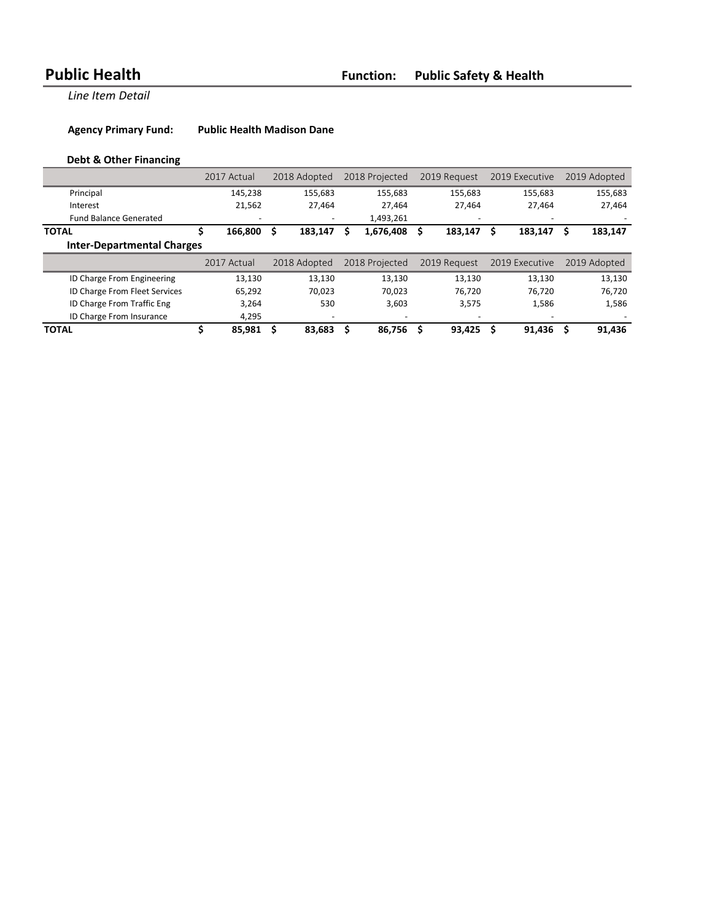Agency Primary Fund: Public Health Madison Dane

# **Debt & Other Financing**

|                                   | 2017 Actual   | 2018 Adopted | 2018 Projected | 2019 Request | 2019 Executive | 2019 Adopted |
|-----------------------------------|---------------|--------------|----------------|--------------|----------------|--------------|
| Principal                         | 145.238       | 155.683      | 155.683        | 155,683      | 155.683        | 155,683      |
| Interest                          | 21,562        | 27,464       | 27,464         | 27,464       | 27,464         | 27,464       |
| <b>Fund Balance Generated</b>     |               |              | 1,493,261      |              |                |              |
| <b>TOTAL</b>                      | 166.800<br>\$ | 183,147<br>S | 1,676,408<br>s | 183.147<br>s | 183,147<br>S   | S<br>183,147 |
| <b>Inter-Departmental Charges</b> |               |              |                |              |                |              |
|                                   |               |              |                |              |                |              |
|                                   | 2017 Actual   | 2018 Adopted | 2018 Projected | 2019 Request | 2019 Executive | 2019 Adopted |
| ID Charge From Engineering        | 13,130        | 13.130       | 13.130         | 13.130       | 13.130         | 13,130       |
| ID Charge From Fleet Services     | 65.292        | 70.023       | 70.023         | 76.720       | 76,720         | 76,720       |
| ID Charge From Traffic Eng        | 3,264         | 530          | 3,603          | 3,575        | 1,586          | 1,586        |
| ID Charge From Insurance          | 4,295         |              |                |              |                |              |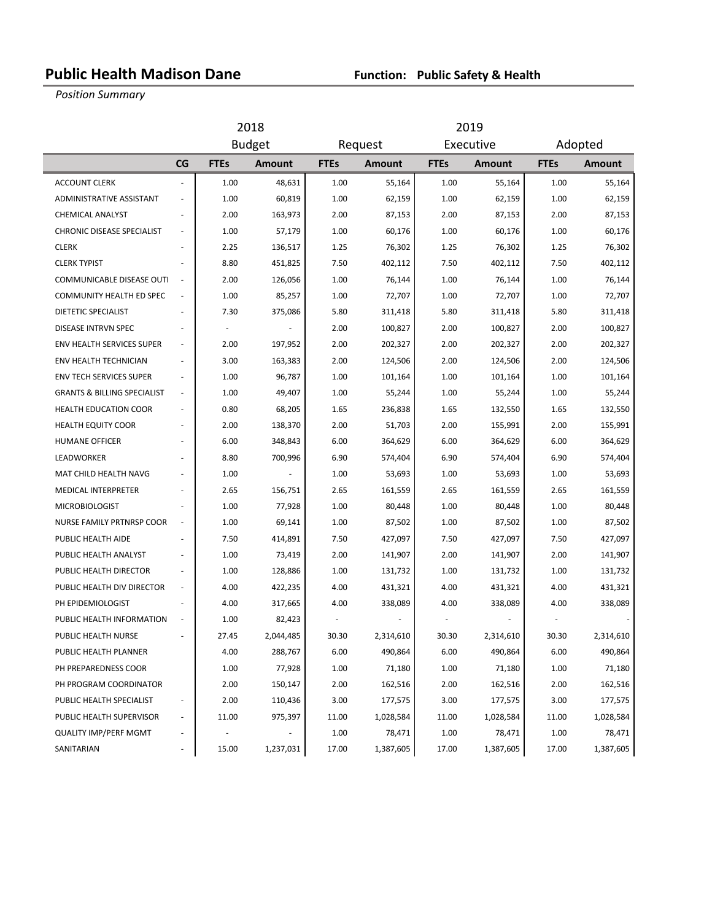# **Public Health Madison Dane Function: Public Safety & Health**

**Position Summary** 

|                                        | 2018                     |               |               |             | 2019                 |             |               |             |               |
|----------------------------------------|--------------------------|---------------|---------------|-------------|----------------------|-------------|---------------|-------------|---------------|
|                                        |                          | <b>Budget</b> |               |             | Executive<br>Request |             |               | Adopted     |               |
|                                        | CG                       | <b>FTEs</b>   | <b>Amount</b> | <b>FTEs</b> | <b>Amount</b>        | <b>FTEs</b> | <b>Amount</b> | <b>FTEs</b> | <b>Amount</b> |
| <b>ACCOUNT CLERK</b>                   | L,                       | 1.00          | 48,631        | 1.00        | 55,164               | 1.00        | 55,164        | 1.00        | 55,164        |
| ADMINISTRATIVE ASSISTANT               | ÷                        | 1.00          | 60,819        | 1.00        | 62,159               | 1.00        | 62,159        | 1.00        | 62,159        |
| CHEMICAL ANALYST                       |                          | 2.00          | 163,973       | 2.00        | 87,153               | 2.00        | 87,153        | 2.00        | 87,153        |
| <b>CHRONIC DISEASE SPECIALIST</b>      | ÷.                       | 1.00          | 57,179        | 1.00        | 60,176               | 1.00        | 60,176        | 1.00        | 60,176        |
| <b>CLERK</b>                           |                          | 2.25          | 136,517       | 1.25        | 76,302               | 1.25        | 76,302        | 1.25        | 76,302        |
| <b>CLERK TYPIST</b>                    |                          | 8.80          | 451,825       | 7.50        | 402,112              | 7.50        | 402,112       | 7.50        | 402,112       |
| COMMUNICABLE DISEASE OUTI              | $\overline{\phantom{a}}$ | 2.00          | 126,056       | 1.00        | 76,144               | 1.00        | 76,144        | 1.00        | 76,144        |
| <b>COMMUNITY HEALTH ED SPEC</b>        | $\overline{\phantom{a}}$ | 1.00          | 85,257        | 1.00        | 72,707               | 1.00        | 72,707        | 1.00        | 72,707        |
| DIETETIC SPECIALIST                    |                          | 7.30          | 375,086       | 5.80        | 311,418              | 5.80        | 311,418       | 5.80        | 311,418       |
| DISEASE INTRVN SPEC                    | $\overline{a}$           |               |               | 2.00        | 100,827              | 2.00        | 100,827       | 2.00        | 100,827       |
| ENV HEALTH SERVICES SUPER              | $\overline{\phantom{a}}$ | 2.00          | 197,952       | 2.00        | 202,327              | 2.00        | 202,327       | 2.00        | 202,327       |
| ENV HEALTH TECHNICIAN                  |                          | 3.00          | 163,383       | 2.00        | 124,506              | 2.00        | 124,506       | 2.00        | 124,506       |
| <b>ENV TECH SERVICES SUPER</b>         | $\overline{\phantom{a}}$ | 1.00          | 96,787        | 1.00        | 101,164              | 1.00        | 101,164       | 1.00        | 101,164       |
| <b>GRANTS &amp; BILLING SPECIALIST</b> | $\overline{\phantom{a}}$ | 1.00          | 49,407        | 1.00        | 55,244               | 1.00        | 55,244        | 1.00        | 55,244        |
| <b>HEALTH EDUCATION COOR</b>           |                          | 0.80          | 68,205        | 1.65        | 236,838              | 1.65        | 132,550       | 1.65        | 132,550       |
| <b>HEALTH EQUITY COOR</b>              | $\sim$                   | 2.00          | 138,370       | 2.00        | 51,703               | 2.00        | 155,991       | 2.00        | 155,991       |
| <b>HUMANE OFFICER</b>                  | ä,                       | 6.00          | 348,843       | 6.00        | 364,629              | 6.00        | 364,629       | 6.00        | 364,629       |
| LEADWORKER                             |                          | 8.80          | 700,996       | 6.90        | 574,404              | 6.90        | 574,404       | 6.90        | 574,404       |
| MAT CHILD HEALTH NAVG                  |                          | 1.00          |               | 1.00        | 53,693               | 1.00        | 53,693        | 1.00        | 53,693        |
| <b>MEDICAL INTERPRETER</b>             | ÷,                       | 2.65          | 156,751       | 2.65        | 161,559              | 2.65        | 161,559       | 2.65        | 161,559       |
| <b>MICROBIOLOGIST</b>                  |                          | 1.00          | 77,928        | 1.00        | 80,448               | 1.00        | 80,448        | 1.00        | 80,448        |
| NURSE FAMILY PRTNRSP COOR              | ÷                        | 1.00          | 69,141        | 1.00        | 87,502               | 1.00        | 87,502        | 1.00        | 87,502        |
| PUBLIC HEALTH AIDE                     | $\overline{a}$           | 7.50          | 414,891       | 7.50        | 427,097              | 7.50        | 427,097       | 7.50        | 427,097       |
| PUBLIC HEALTH ANALYST                  |                          | 1.00          | 73,419        | 2.00        | 141,907              | 2.00        | 141,907       | 2.00        | 141,907       |
| PUBLIC HEALTH DIRECTOR                 |                          | 1.00          | 128,886       | 1.00        | 131,732              | 1.00        | 131,732       | 1.00        | 131,732       |
| PUBLIC HEALTH DIV DIRECTOR             | ÷.                       | 4.00          | 422,235       | 4.00        | 431,321              | 4.00        | 431,321       | 4.00        | 431,321       |
| PH EPIDEMIOLOGIST                      | $\sim$                   | 4.00          | 317,665       | 4.00        | 338,089              | 4.00        | 338,089       | 4.00        | 338,089       |
| PUBLIC HEALTH INFORMATION              |                          | 1.00          | 82,423        |             |                      |             |               |             |               |
| PUBLIC HEALTH NURSE                    |                          | 27.45         | 2,044,485     | 30.30       | 2,314,610            | 30.30       | 2,314,610     | 30.30       | 2,314,610     |
| PUBLIC HEALTH PLANNER                  |                          | 4.00          | 288,767       | 6.00        | 490,864              | 6.00        | 490,864       | 6.00        | 490,864       |
| PH PREPAREDNESS COOR                   |                          | 1.00          | 77,928        | 1.00        | 71,180               | 1.00        | 71,180        | 1.00        | 71,180        |
| PH PROGRAM COORDINATOR                 |                          | 2.00          | 150,147       | 2.00        | 162,516              | 2.00        | 162,516       | 2.00        | 162,516       |
| PUBLIC HEALTH SPECIALIST               |                          | 2.00          | 110,436       | 3.00        | 177,575              | 3.00        | 177,575       | 3.00        | 177,575       |
| PUBLIC HEALTH SUPERVISOR               |                          | 11.00         | 975,397       | 11.00       | 1,028,584            | 11.00       | 1,028,584     | 11.00       | 1,028,584     |
| <b>QUALITY IMP/PERF MGMT</b>           |                          |               |               | 1.00        | 78,471               | 1.00        | 78,471        | 1.00        | 78,471        |
| SANITARIAN                             |                          | 15.00         | 1,237,031     | 17.00       | 1,387,605            | 17.00       | 1,387,605     | 17.00       | 1,387,605     |